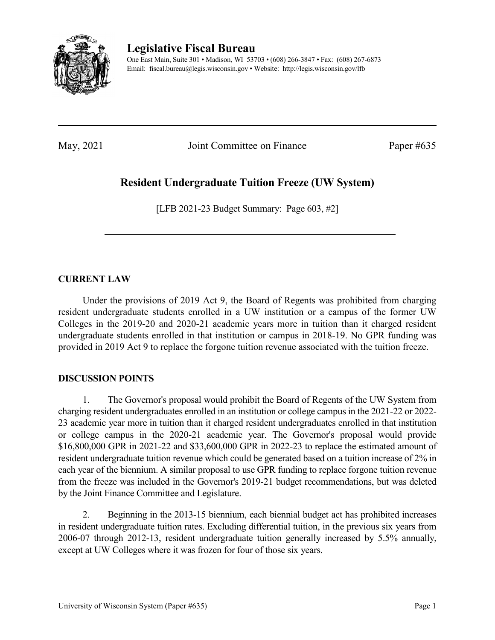

**Legislative Fiscal Bureau**

One East Main, Suite 301 • Madison, WI 53703 • (608) 266-3847 • Fax: (608) 267-6873 Email: fiscal.bureau@legis.wisconsin.gov • Website:<http://legis.wisconsin.gov/lfb>

May, 2021 Joint Committee on Finance Paper #635

# **Resident Undergraduate Tuition Freeze (UW System)**

[LFB 2021-23 Budget Summary: Page 603, #2]

### **CURRENT LAW**

Under the provisions of 2019 Act 9, the Board of Regents was prohibited from charging resident undergraduate students enrolled in a UW institution or a campus of the former UW Colleges in the 2019-20 and 2020-21 academic years more in tuition than it charged resident undergraduate students enrolled in that institution or campus in 2018-19. No GPR funding was provided in 2019 Act 9 to replace the forgone tuition revenue associated with the tuition freeze.

### **DISCUSSION POINTS**

1. The Governor's proposal would prohibit the Board of Regents of the UW System from charging resident undergraduates enrolled in an institution or college campus in the 2021-22 or 2022- 23 academic year more in tuition than it charged resident undergraduates enrolled in that institution or college campus in the 2020-21 academic year. The Governor's proposal would provide \$16,800,000 GPR in 2021-22 and \$33,600,000 GPR in 2022-23 to replace the estimated amount of resident undergraduate tuition revenue which could be generated based on a tuition increase of 2% in each year of the biennium. A similar proposal to use GPR funding to replace forgone tuition revenue from the freeze was included in the Governor's 2019-21 budget recommendations, but was deleted by the Joint Finance Committee and Legislature.

2. Beginning in the 2013-15 biennium, each biennial budget act has prohibited increases in resident undergraduate tuition rates. Excluding differential tuition, in the previous six years from 2006-07 through 2012-13, resident undergraduate tuition generally increased by 5.5% annually, except at UW Colleges where it was frozen for four of those six years.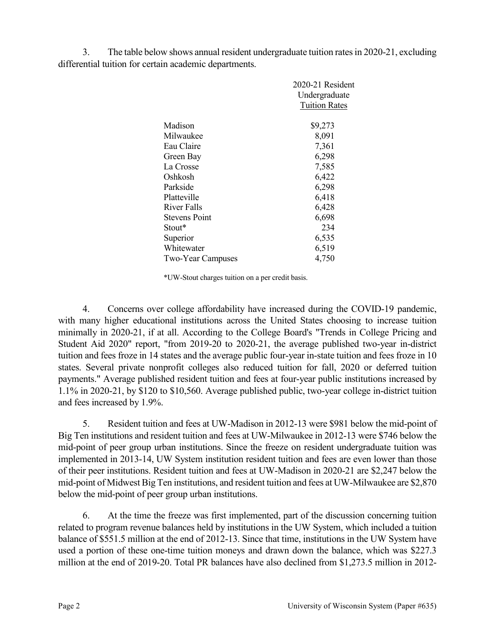3. The table below shows annual resident undergraduate tuition rates in 2020-21, excluding differential tuition for certain academic departments.

|                          | $2020-21$ Resident   |
|--------------------------|----------------------|
|                          | Undergraduate        |
|                          | <b>Tuition Rates</b> |
|                          |                      |
| Madison                  | \$9,273              |
| Milwaukee                | 8,091                |
| Eau Claire               | 7,361                |
| Green Bay                | 6,298                |
| La Crosse                | 7,585                |
| Oshkosh                  | 6,422                |
| Parkside                 | 6,298                |
| Platteville              | 6,418                |
| River Falls              | 6,428                |
| <b>Stevens Point</b>     | 6,698                |
| Stout*                   | 234                  |
| Superior                 | 6,535                |
| Whitewater               | 6,519                |
| <b>Two-Year Campuses</b> | 4,750                |

\*UW-Stout charges tuition on a per credit basis.

4. Concerns over college affordability have increased during the COVID-19 pandemic, with many higher educational institutions across the United States choosing to increase tuition minimally in 2020-21, if at all. According to the College Board's "Trends in College Pricing and Student Aid 2020" report, "from 2019-20 to 2020-21, the average published two-year in-district tuition and fees froze in 14 states and the average public four-year in-state tuition and fees froze in 10 states. Several private nonprofit colleges also reduced tuition for fall, 2020 or deferred tuition payments." Average published resident tuition and fees at four-year public institutions increased by 1.1% in 2020-21, by \$120 to \$10,560. Average published public, two-year college in-district tuition and fees increased by 1.9%.

5. Resident tuition and fees at UW-Madison in 2012-13 were \$981 below the mid-point of Big Ten institutions and resident tuition and fees at UW-Milwaukee in 2012-13 were \$746 below the mid-point of peer group urban institutions. Since the freeze on resident undergraduate tuition was implemented in 2013-14, UW System institution resident tuition and fees are even lower than those of their peer institutions. Resident tuition and fees at UW-Madison in 2020-21 are \$2,247 below the mid-point of Midwest Big Ten institutions, and resident tuition and fees at UW-Milwaukee are \$2,870 below the mid-point of peer group urban institutions.

6. At the time the freeze was first implemented, part of the discussion concerning tuition related to program revenue balances held by institutions in the UW System, which included a tuition balance of \$551.5 million at the end of 2012-13. Since that time, institutions in the UW System have used a portion of these one-time tuition moneys and drawn down the balance, which was \$227.3 million at the end of 2019-20. Total PR balances have also declined from \$1,273.5 million in 2012-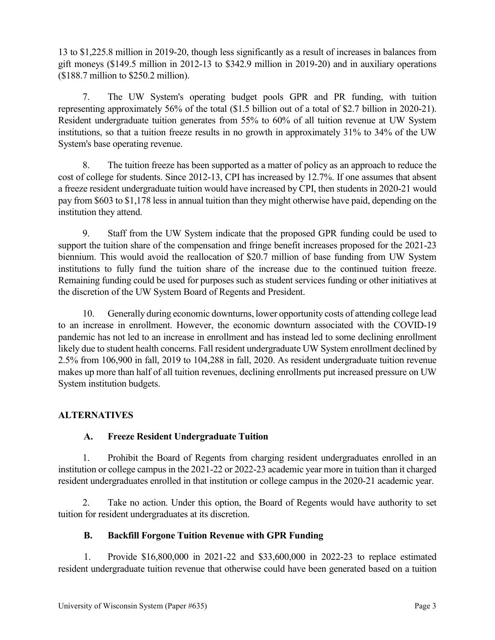13 to \$1,225.8 million in 2019-20, though less significantly as a result of increases in balances from gift moneys (\$149.5 million in 2012-13 to \$342.9 million in 2019-20) and in auxiliary operations (\$188.7 million to \$250.2 million).

7. The UW System's operating budget pools GPR and PR funding, with tuition representing approximately 56% of the total (\$1.5 billion out of a total of \$2.7 billion in 2020-21). Resident undergraduate tuition generates from 55% to 60% of all tuition revenue at UW System institutions, so that a tuition freeze results in no growth in approximately 31% to 34% of the UW System's base operating revenue.

8. The tuition freeze has been supported as a matter of policy as an approach to reduce the cost of college for students. Since 2012-13, CPI has increased by 12.7%. If one assumes that absent a freeze resident undergraduate tuition would have increased by CPI, then students in 2020-21 would pay from \$603 to \$1,178 less in annual tuition than they might otherwise have paid, depending on the institution they attend.

9. Staff from the UW System indicate that the proposed GPR funding could be used to support the tuition share of the compensation and fringe benefit increases proposed for the 2021-23 biennium. This would avoid the reallocation of \$20.7 million of base funding from UW System institutions to fully fund the tuition share of the increase due to the continued tuition freeze. Remaining funding could be used for purposes such as student services funding or other initiatives at the discretion of the UW System Board of Regents and President.

10. Generally during economic downturns, lower opportunity costs of attending college lead to an increase in enrollment. However, the economic downturn associated with the COVID-19 pandemic has not led to an increase in enrollment and has instead led to some declining enrollment likely due to student health concerns. Fall resident undergraduate UW System enrollment declined by 2.5% from 106,900 in fall, 2019 to 104,288 in fall, 2020. As resident undergraduate tuition revenue makes up more than half of all tuition revenues, declining enrollments put increased pressure on UW System institution budgets.

# **ALTERNATIVES**

# **A. Freeze Resident Undergraduate Tuition**

1. Prohibit the Board of Regents from charging resident undergraduates enrolled in an institution or college campus in the 2021-22 or 2022-23 academic year more in tuition than it charged resident undergraduates enrolled in that institution or college campus in the 2020-21 academic year.

2. Take no action. Under this option, the Board of Regents would have authority to set tuition for resident undergraduates at its discretion.

# **B. Backfill Forgone Tuition Revenue with GPR Funding**

1. Provide \$16,800,000 in 2021-22 and \$33,600,000 in 2022-23 to replace estimated resident undergraduate tuition revenue that otherwise could have been generated based on a tuition